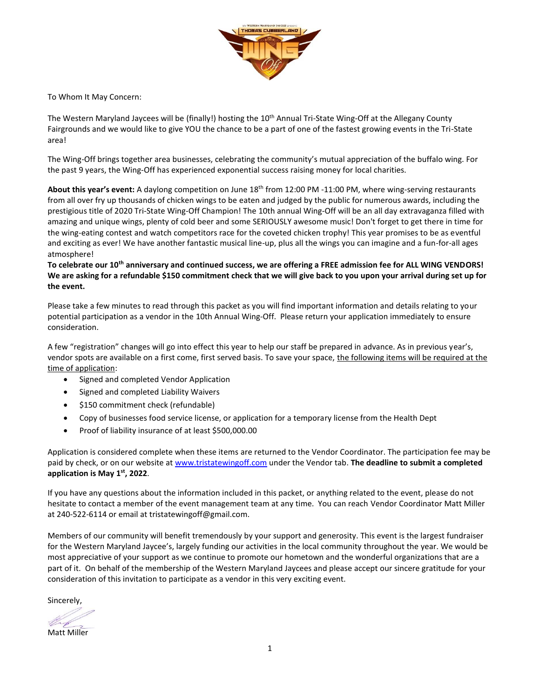

To Whom It May Concern:

The Western Maryland Jaycees will be (finally!) hosting the 10<sup>th</sup> Annual Tri-State Wing-Off at the Allegany County Fairgrounds and we would like to give YOU the chance to be a part of one of the fastest growing events in the Tri-State area!

The Wing-Off brings together area businesses, celebrating the community's mutual appreciation of the buffalo wing. For the past 9 years, the Wing-Off has experienced exponential success raising money for local charities.

About this year's event: A daylong competition on June 18<sup>th</sup> from 12:00 PM -11:00 PM, where wing-serving restaurants from all over fry up thousands of chicken wings to be eaten and judged by the public for numerous awards, including the prestigious title of 2020 Tri-State Wing-Off Champion! The 10th annual Wing-Off will be an all day extravaganza filled with amazing and unique wings, plenty of cold beer and some SERIOUSLY awesome music! Don't forget to get there in time for the wing-eating contest and watch competitors race for the coveted chicken trophy! This year promises to be as eventful and exciting as ever! We have another fantastic musical line-up, plus all the wings you can imagine and a fun-for-all ages atmosphere!

**To celebrate our 10th anniversary and continued success, we are offering a FREE admission fee for ALL WING VENDORS! We are asking for a refundable \$150 commitment check that we will give back to you upon your arrival during set up for the event.**

Please take a few minutes to read through this packet as you will find important information and details relating to your potential participation as a vendor in the 10th Annual Wing-Off. Please return your application immediately to ensure consideration.

A few "registration" changes will go into effect this year to help our staff be prepared in advance. As in previous year's, vendor spots are available on a first come, first served basis. To save your space, the following items will be required at the time of application:

- Signed and completed Vendor Application
- Signed and completed Liability Waivers
- \$150 commitment check (refundable)
- Copy of businesses food service license, or application for a temporary license from the Health Dept
- Proof of liability insurance of at least \$500,000.00

Application is considered complete when these items are returned to the Vendor Coordinator. The participation fee may be paid by check, or on our website a[t www.tristatewingoff.com](http://www.tristatewingoff.com/) under the Vendor tab. **The deadline to submit a completed application is May 1 st , 2022**.

If you have any questions about the information included in this packet, or anything related to the event, please do not hesitate to contact a member of the event management team at any time. You can reach Vendor Coordinator Matt Miller at 240-522-6114 or email at tristatewingoff@gmail.com.

Members of our community will benefit tremendously by your support and generosity. This event is the largest fundraiser for the Western Maryland Jaycee's, largely funding our activities in the local community throughout the year. We would be most appreciative of your support as we continue to promote our hometown and the wonderful organizations that are a part of it. On behalf of the membership of the Western Maryland Jaycees and please accept our sincere gratitude for your consideration of this invitation to participate as a vendor in this very exciting event.

Sincerely,

Matt Miller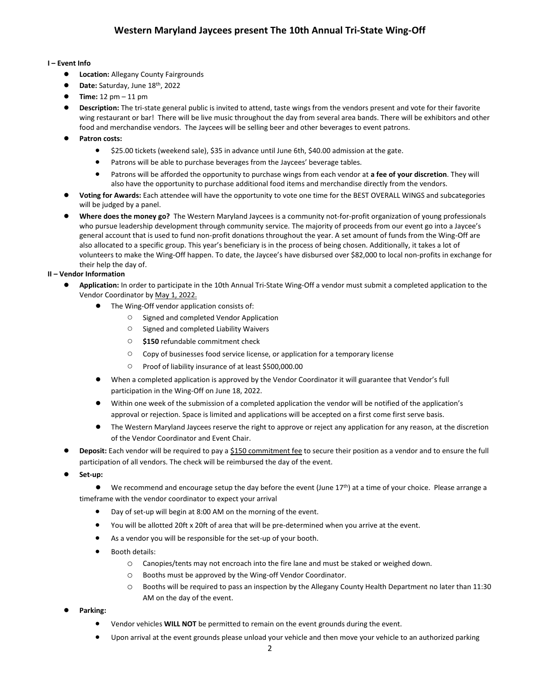## **I – Event Info**

- **Location:** Allegany County Fairgrounds
- **Date:** Saturday, June 18th, 2022
- **Time:** 12 pm 11 pm
- **Description:** The tri-state general public is invited to attend, taste wings from the vendors present and vote for their favorite wing restaurant or bar! There will be live music throughout the day from several area bands. There will be exhibitors and other food and merchandise vendors. The Jaycees will be selling beer and other beverages to event patrons.
- Patron costs:
	- \$25.00 tickets (weekend sale), \$35 in advance until June 6th, \$40.00 admission at the gate.
	- Patrons will be able to purchase beverages from the Jaycees' beverage tables.
	- Patrons will be afforded the opportunity to purchase wings from each vendor at **a fee of your discretion**. They will also have the opportunity to purchase additional food items and merchandise directly from the vendors.
- **Voting for Awards:** Each attendee will have the opportunity to vote one time for the BEST OVERALL WINGS and subcategories will be judged by a panel.
- Where does the money go? The Western Maryland Jaycees is a community not-for-profit organization of young professionals who pursue leadership development through community service. The majority of proceeds from our event go into a Jaycee's general account that is used to fund non-profit donations throughout the year. A set amount of funds from the Wing-Off are also allocated to a specific group. This year's beneficiary is in the process of being chosen. Additionally, it takes a lot of volunteers to make the Wing-Off happen. To date, the Jaycee's have disbursed over \$82,000 to local non-profits in exchange for their help the day of.

## **II – Vendor Information**

- Application: In order to participate in the 10th Annual Tri-State Wing-Off a vendor must submit a completed application to the Vendor Coordinator by May 1, 2022.
	- The Wing-Off vendor application consists of:
		- Signed and completed Vendor Application
		- Signed and completed Liability Waivers
		- **\$150** refundable commitment check
		- Copy of businesses food service license, or application for a temporary license
		- Proof of liability insurance of at least \$500,000.00
	- When a completed application is approved by the Vendor Coordinator it will guarantee that Vendor's full participation in the Wing-Off on June 18, 2022.
	- Within one week of the submission of a completed application the vendor will be notified of the application's approval or rejection. Space is limited and applications will be accepted on a first come first serve basis.
	- The Western Maryland Jaycees reserve the right to approve or reject any application for any reason, at the discretion of the Vendor Coordinator and Event Chair.
- **Deposit:** Each vendor will be required to pay a \$150 commitment fee to secure their position as a vendor and to ensure the full participation of all vendors. The check will be reimbursed the day of the event.
- **● Set-up:**

● We recommend and encourage setup the day before the event (June 17<sup>th</sup>) at a time of your choice. Please arrange a timeframe with the vendor coordinator to expect your arrival

- Day of set-up will begin at 8:00 AM on the morning of the event.
- You will be allotted 20ft x 20ft of area that will be pre-determined when you arrive at the event.
- As a vendor you will be responsible for the set-up of your booth.
- Booth details:
	- o Canopies/tents may not encroach into the fire lane and must be staked or weighed down.
	- o Booths must be approved by the Wing-off Vendor Coordinator.
	- o Booths will be required to pass an inspection by the Allegany County Health Department no later than 11:30 AM on the day of the event.
- **Parking:** 
	- Vendor vehicles **WILL NOT** be permitted to remain on the event grounds during the event.
	- Upon arrival at the event grounds please unload your vehicle and then move your vehicle to an authorized parking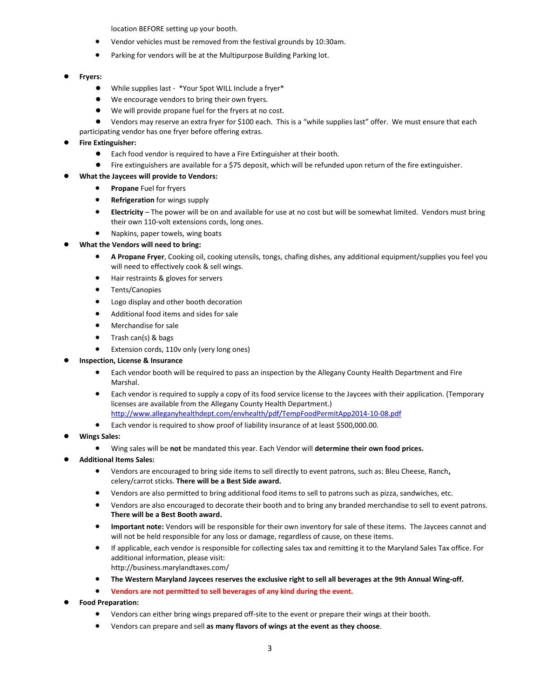location BEFORE setting up your booth.

- Vendor vehicles must be removed from the festival grounds by 10:30am.
- Parking for vendors will be at the Multipurpose Building Parking lot.

#### ● **Fryers:**

- While supplies last \*Your Spot WILL Include a fryer\*
- We encourage vendors to bring their own fryers.
- We will provide propane fuel for the fryers at no cost.
- Vendors may reserve an extra fryer for \$100 each. This is a "while supplies last" offer. We must ensure that each

# participating vendor has one fryer before offering extras.

#### **Fire Extinguisher:**

- Each food vendor is required to have a Fire Extinguisher at their booth.
- Fire extinguishers are available for a \$75 deposit, which will be refunded upon return of the fire extinguisher.

### **What the Jaycees will provide to Vendors:**

- **Propane** Fuel for fryers
- **Refrigeration** for wings supply
- **Electricity** The power will be on and available for use at no cost but will be somewhat limited. Vendors must bring their own 110-volt extensions cords, long ones.
- Napkins, paper towels, wing boats

### **What the Vendors will need to bring:**

- **A Propane Fryer**, Cooking oil, cooking utensils, tongs, chafing dishes, any additional equipment/supplies you feel you will need to effectively cook & sell wings.
- Hair restraints & gloves for servers
- Tents/Canopies
- Logo display and other booth decoration
- Additional food items and sides for sale
- Merchandise for sale
- Trash can(s) & bags
- Extension cords, 110v only (very long ones)
- **Inspection, License & Insurance** 
	- Each vendor booth will be required to pass an inspection by the Allegany County Health Department and Fire Marshal.
	- Each vendor is required to supply a copy of its food service license to the Jaycees with their application. (Temporary licenses are available from the Allegany County Health Department.) <http://www.alleganyhealthdept.com/envhealth/pdf/TempFoodPermitApp2014-10-08.pdf>
	- Each vendor is required to show proof of liability insurance of at least \$500,000.00.
- **Wings Sales:**
	- Wing sales will be **not** be mandated this year. Each Vendor will **determine their own food prices.**
- **Additional Items Sales:**
	- Vendors are encouraged to bring side items to sell directly to event patrons, such as: Bleu Cheese, Ranch**,** celery/carrot sticks. **There will be a Best Side award.**
	- Vendors are also permitted to bring additional food items to sell to patrons such as pizza, sandwiches, etc.
	- Vendors are also encouraged to decorate their booth and to bring any branded merchandise to sell to event patrons. **There will be a Best Booth award.**
	- **Important note:** Vendors will be responsible for their own inventory for sale of these items. The Jaycees cannot and will not be held responsible for any loss or damage, regardless of cause, on these items.
	- If applicable, each vendor is responsible for collecting sales tax and remitting it to the Maryland Sales Tax office. For additional information, please visit:
	- http://business.marylandtaxes.com/
	- **The Western Maryland Jaycees reserves the exclusive right to sell all beverages at the 9th Annual Wing-off.**
	- **Vendors are not permitted to sell beverages of any kind during the event.**
- **Food Preparation:**
	- Vendors can either bring wings prepared off-site to the event or prepare their wings at their booth.
	- Vendors can prepare and sell **as many flavors of wings at the event as they choose**.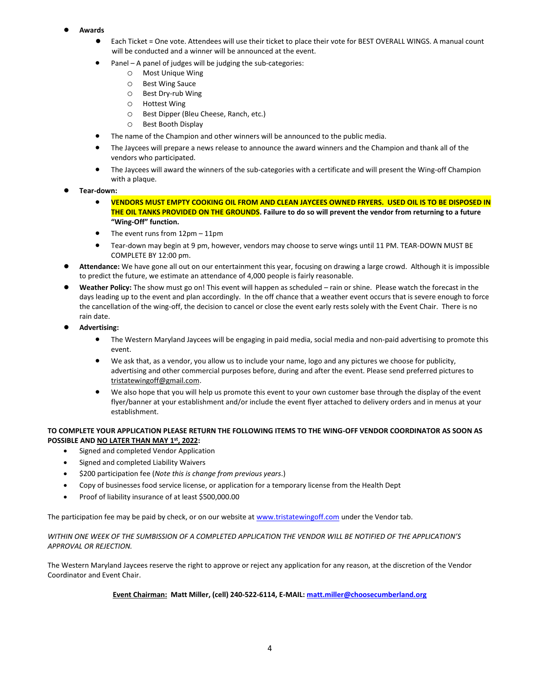- **Awards**
	- Each Ticket = One vote. Attendees will use their ticket to place their vote for BEST OVERALL WINGS. A manual count will be conducted and a winner will be announced at the event.
	- Panel A panel of judges will be judging the sub-categories:
		- o Most Unique Wing
		- o Best Wing Sauce
		- o Best Dry-rub Wing
		- o Hottest Wing
		- o Best Dipper (Bleu Cheese, Ranch, etc.)
		- o Best Booth Display
	- The name of the Champion and other winners will be announced to the public media.
	- The Jaycees will prepare a news release to announce the award winners and the Champion and thank all of the vendors who participated.
	- The Jaycees will award the winners of the sub-categories with a certificate and will present the Wing-off Champion with a plaque.
- **Tear-down:**
	- **VENDORS MUST EMPTY COOKING OIL FROM AND CLEAN JAYCEES OWNED FRYERS. USED OIL IS TO BE DISPOSED IN THE OIL TANKS PROVIDED ON THE GROUNDS. Failure to do so will prevent the vendor from returning to a future "Wing-Off" function.**
	- The event runs from 12pm 11pm
	- Tear-down may begin at 9 pm, however, vendors may choose to serve wings until 11 PM. TEAR-DOWN MUST BE COMPLETE BY 12:00 pm.
- Attendance: We have gone all out on our entertainment this year, focusing on drawing a large crowd. Although it is impossible to predict the future, we estimate an attendance of 4,000 people is fairly reasonable.
- Weather Policy: The show must go on! This event will happen as scheduled rain or shine. Please watch the forecast in the days leading up to the event and plan accordingly. In the off chance that a weather event occurs that is severe enough to force the cancellation of the wing-off, the decision to cancel or close the event early rests solely with the Event Chair. There is no rain date.
- **Advertising:**
	- The Western Maryland Jaycees will be engaging in paid media, social media and non-paid advertising to promote this event.
	- We ask that, as a vendor, you allow us to include your name, logo and any pictures we choose for publicity, advertising and other commercial purposes before, during and after the event. Please send preferred pictures to tristatewingoff@gmail.com.
	- We also hope that you will help us promote this event to your own customer base through the display of the event flyer/banner at your establishment and/or include the event flyer attached to delivery orders and in menus at your establishment.

### **TO COMPLETE YOUR APPLICATION PLEASE RETURN THE FOLLOWING ITEMS TO THE WING-OFF VENDOR COORDINATOR AS SOON AS POSSIBLE AND NO LATER THAN MAY 1 st, 2022:**

- Signed and completed Vendor Application
- Signed and completed Liability Waivers
- \$200 participation fee (*Note this is change from previous years*.)
- Copy of businesses food service license, or application for a temporary license from the Health Dept
- Proof of liability insurance of at least \$500,000.00

The participation fee may be paid by check, or on our website at [www.tristatewingoff.com](http://www.tristatewingoff.com/) under the Vendor tab.

#### WITHIN ONE WEEK OF THE SUMBISSION OF A COMPLETED APPLICATION THE VENDOR WILL BE NOTIFIED OF THE APPLICATION'S *APPROVAL OR REJECTION.*

The Western Maryland Jaycees reserve the right to approve or reject any application for any reason, at the discretion of the Vendor Coordinator and Event Chair.

#### **Event Chairman: Matt Miller, (cell) 240-522-6114, E-MAIL: [matt.miller@choosecumberland.org](mailto:matt.miller@choosecumberland.org)**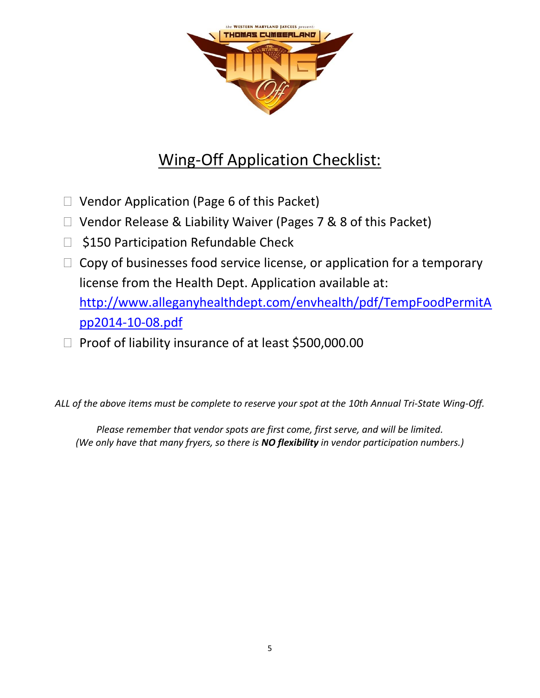

# Wing-Off Application Checklist:

- $\Box$  Vendor Application (Page 6 of this Packet)
- □ Vendor Release & Liability Waiver (Pages 7 & 8 of this Packet)
- □ \$150 Participation Refundable Check
- $\Box$  Copy of businesses food service license, or application for a temporary license from the Health Dept. Application available at: [http://www.alleganyhealthdept.com/envhealth/pdf/TempFoodPermitA](http://www.alleganyhealthdept.com/envhealth/pdf/TempFoodPermitApp2014-10-08.pdf)

[pp2014-10-08.pdf](http://www.alleganyhealthdept.com/envhealth/pdf/TempFoodPermitApp2014-10-08.pdf)

 $\Box$  Proof of liability insurance of at least \$500,000.00

*ALL of the above items must be complete to reserve your spot at the 10th Annual Tri-State Wing-Off.* 

*Please remember that vendor spots are first come, first serve, and will be limited. (We only have that many fryers, so there is NO flexibility in vendor participation numbers.)*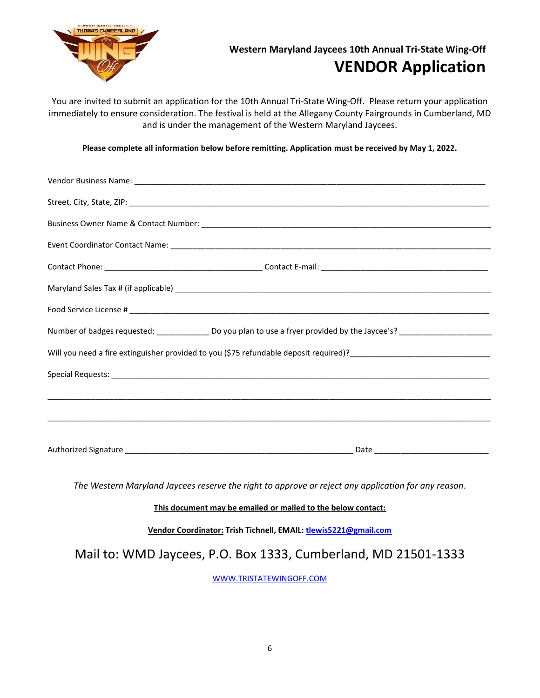

# **Western Maryland Jaycees 10th Annual Tri-State Wing-Off VENDOR Application**

You are invited to submit an application for the 10th Annual Tri-State Wing-Off. Please return your application immediately to ensure consideration. The festival is held at the Allegany County Fairgrounds in Cumberland, MD and is under the management of the Western Maryland Jaycees.

**Please complete all information below before remitting. Application must be received by May 1, 2022.**

| Number of badges requested: ________________ Do you plan to use a fryer provided by the Jaycee's? __________________ |
|----------------------------------------------------------------------------------------------------------------------|
|                                                                                                                      |
|                                                                                                                      |
|                                                                                                                      |
|                                                                                                                      |
|                                                                                                                      |
|                                                                                                                      |

*The Western Maryland Jaycees reserve the right to approve or reject any application for any reason*.

**This document may be emailed or mailed to the below contact:**

**Vendor Coordinator: Trish Tichnell, EMAIL: [tlewis5221@gmail.com](mailto:tlewis5221@gmail.com)**

Mail to: WMD Jaycees, P.O. Box 1333, Cumberland, MD 21501-1333

[WWW.TRISTATEWINGOFF.COM](http://www.tristatewingoff.com/)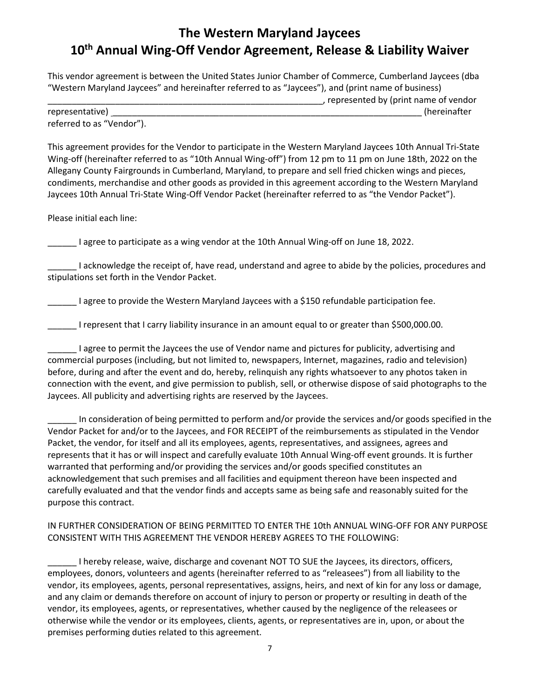# **The Western Maryland Jaycees 10th Annual Wing-Off Vendor Agreement, Release & Liability Waiver**

This vendor agreement is between the United States Junior Chamber of Commerce, Cumberland Jaycees (dba "Western Maryland Jaycees" and hereinafter referred to as "Jaycees"), and (print name of business) \_\_\_\_\_\_\_\_\_\_\_\_\_\_\_\_\_\_\_\_\_\_\_\_\_\_\_\_\_\_\_\_\_\_\_\_\_\_\_\_\_\_\_\_\_\_\_\_\_\_\_\_\_\_\_\_\_, represented by (print name of vendor representative) \_\_\_\_\_\_\_\_\_\_\_\_\_\_\_\_\_\_\_\_\_\_\_\_\_\_\_\_\_\_\_\_\_\_\_\_\_\_\_\_\_\_\_\_\_\_\_\_\_\_\_\_\_\_\_\_\_\_\_\_\_\_\_\_ (hereinafter referred to as "Vendor").

This agreement provides for the Vendor to participate in the Western Maryland Jaycees 10th Annual Tri-State Wing-off (hereinafter referred to as "10th Annual Wing-off") from 12 pm to 11 pm on June 18th, 2022 on the Allegany County Fairgrounds in Cumberland, Maryland, to prepare and sell fried chicken wings and pieces, condiments, merchandise and other goods as provided in this agreement according to the Western Maryland Jaycees 10th Annual Tri-State Wing-Off Vendor Packet (hereinafter referred to as "the Vendor Packet").

Please initial each line:

Lettia agree to participate as a wing vendor at the 10th Annual Wing-off on June 18, 2022.

\_\_\_\_\_\_ I acknowledge the receipt of, have read, understand and agree to abide by the policies, procedures and stipulations set forth in the Vendor Packet.

\_\_\_\_\_\_ I agree to provide the Western Maryland Jaycees with a \$150 refundable participation fee.

\_\_\_\_\_\_ I represent that I carry liability insurance in an amount equal to or greater than \$500,000.00.

\_\_\_\_\_\_ I agree to permit the Jaycees the use of Vendor name and pictures for publicity, advertising and commercial purposes (including, but not limited to, newspapers, Internet, magazines, radio and television) before, during and after the event and do, hereby, relinquish any rights whatsoever to any photos taken in connection with the event, and give permission to publish, sell, or otherwise dispose of said photographs to the Jaycees. All publicity and advertising rights are reserved by the Jaycees.

\_\_\_\_\_\_ In consideration of being permitted to perform and/or provide the services and/or goods specified in the Vendor Packet for and/or to the Jaycees, and FOR RECEIPT of the reimbursements as stipulated in the Vendor Packet, the vendor, for itself and all its employees, agents, representatives, and assignees, agrees and represents that it has or will inspect and carefully evaluate 10th Annual Wing-off event grounds. It is further warranted that performing and/or providing the services and/or goods specified constitutes an acknowledgement that such premises and all facilities and equipment thereon have been inspected and carefully evaluated and that the vendor finds and accepts same as being safe and reasonably suited for the purpose this contract.

IN FURTHER CONSIDERATION OF BEING PERMITTED TO ENTER THE 10th ANNUAL WING-OFF FOR ANY PURPOSE CONSISTENT WITH THIS AGREEMENT THE VENDOR HEREBY AGREES TO THE FOLLOWING:

\_\_\_\_\_\_ I hereby release, waive, discharge and covenant NOT TO SUE the Jaycees, its directors, officers, employees, donors, volunteers and agents (hereinafter referred to as "releasees") from all liability to the vendor, its employees, agents, personal representatives, assigns, heirs, and next of kin for any loss or damage, and any claim or demands therefore on account of injury to person or property or resulting in death of the vendor, its employees, agents, or representatives, whether caused by the negligence of the releasees or otherwise while the vendor or its employees, clients, agents, or representatives are in, upon, or about the premises performing duties related to this agreement.